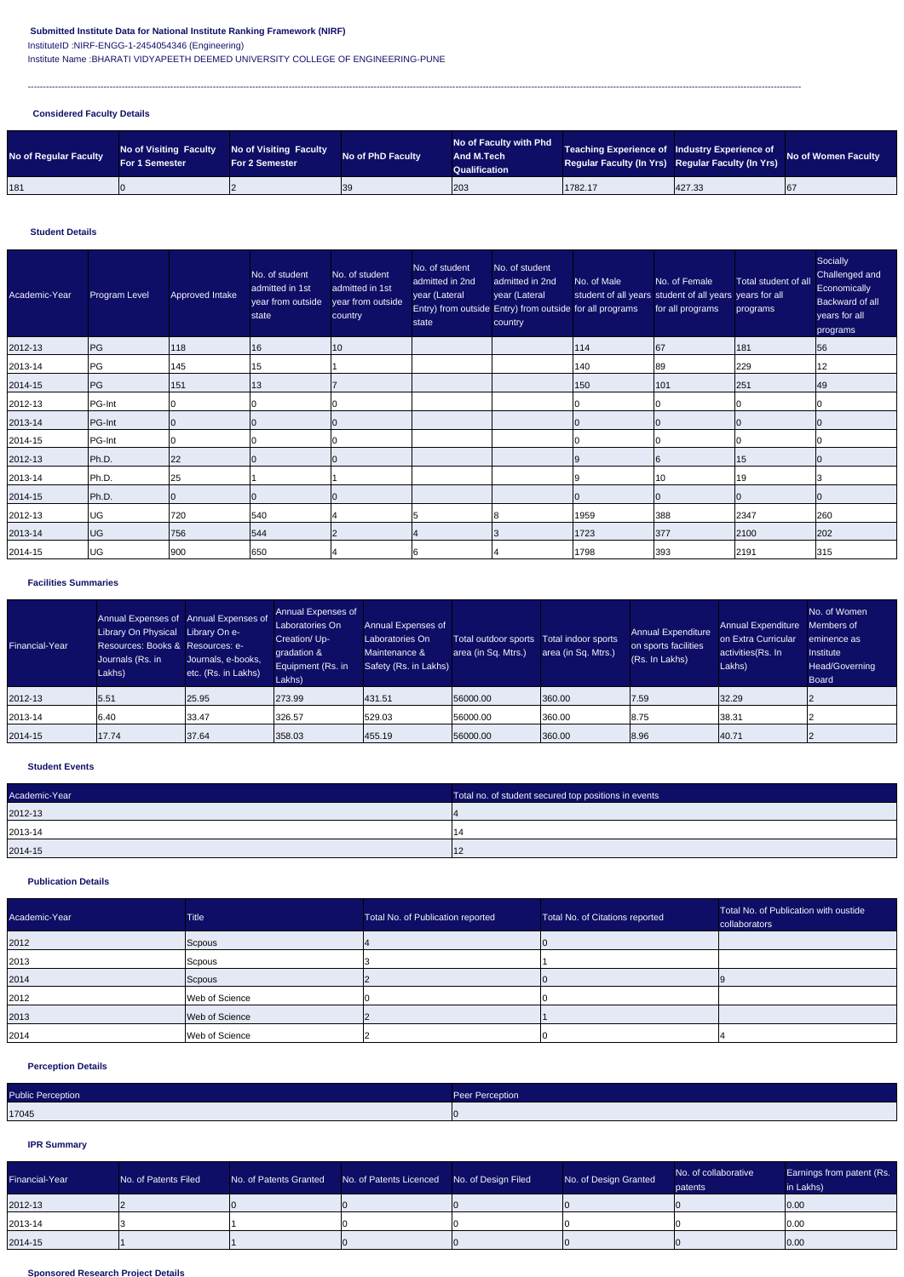## **Submitted Institute Data for National Institute Ranking Framework (NIRF)**

InstituteID :NIRF-ENGG-1-2454054346 (Engineering)

Institute Name :BHARATI VIDYAPEETH DEEMED UNIVERSITY COLLEGE OF ENGINEERING-PUNE

---------------------------------------------------------------------------------------------------------------------------------------------------------------------------------------------------------------------------------------------------------------

## **Considered Faculty Details**

#### **Student Details**

#### **Facilities Summaries**

#### **Student Events**

### **Publication Details**

## **Perception Details**

# **IPR Summary**

#### **Sponsored Research Project Details**

| No of Regular Faculty | <b>No of Visiting Faculty</b><br><b>For 1 Semester</b> | No of Visiting Faculty<br><b>For 2 Semester</b> | <b>No of PhD Faculty</b> | No of Faculty with Phd<br><b>And M.Tech</b><br>Qualification | Teaching Experience of Industry Experience of<br>Regular Faculty (In Yrs) Regular Faculty (In Yrs) |        | <b>No of Women Faculty</b> |
|-----------------------|--------------------------------------------------------|-------------------------------------------------|--------------------------|--------------------------------------------------------------|----------------------------------------------------------------------------------------------------|--------|----------------------------|
| 181                   |                                                        |                                                 | 39                       | 203                                                          | 1782.17                                                                                            | 427.33 | 67                         |

| Academic-Year | <b>Program Level</b> | Approved Intake | No. of student<br>admitted in 1st<br>year from outside<br>state | No. of student<br>admitted in 1st<br>year from outside<br>country | No. of student<br>admitted in 2nd<br>year (Lateral<br>state | No. of student<br>admitted in 2nd<br>year (Lateral<br>Entry) from outside Entry) from outside for all programs<br>country | No. of Male | No. of Female<br>student of all years student of all years years for all<br>for all programs | Total student of all<br>programs | Socially<br>Challenged and<br>Economically<br><b>Backward of all</b><br>years for all<br>programs |
|---------------|----------------------|-----------------|-----------------------------------------------------------------|-------------------------------------------------------------------|-------------------------------------------------------------|---------------------------------------------------------------------------------------------------------------------------|-------------|----------------------------------------------------------------------------------------------|----------------------------------|---------------------------------------------------------------------------------------------------|
| 2012-13       | PG                   | 118             | 16                                                              | 10                                                                |                                                             |                                                                                                                           | 114         | 67                                                                                           | 181                              | 56                                                                                                |
| 2013-14       | PG                   | 145             | 15                                                              |                                                                   |                                                             |                                                                                                                           | 140         | 89                                                                                           | 229                              | 12                                                                                                |
| 2014-15       | PG                   | 151             | 13                                                              |                                                                   |                                                             |                                                                                                                           | 150         | 101                                                                                          | 251                              | 49                                                                                                |
| 2012-13       | PG-Int               |                 |                                                                 |                                                                   |                                                             |                                                                                                                           |             |                                                                                              |                                  |                                                                                                   |
| 2013-14       | PG-Int               |                 |                                                                 |                                                                   |                                                             |                                                                                                                           |             |                                                                                              |                                  |                                                                                                   |
| 2014-15       | PG-Int               |                 |                                                                 |                                                                   |                                                             |                                                                                                                           |             |                                                                                              |                                  |                                                                                                   |
| 2012-13       | Ph.D.                | 22              |                                                                 |                                                                   |                                                             |                                                                                                                           | 9           |                                                                                              | $15\,$                           |                                                                                                   |
| 2013-14       | Ph.D.                | 25              |                                                                 |                                                                   |                                                             |                                                                                                                           | a           | 10                                                                                           | 19                               |                                                                                                   |
| 2014-15       | Ph.D.                |                 |                                                                 |                                                                   |                                                             |                                                                                                                           |             |                                                                                              |                                  |                                                                                                   |
| 2012-13       | UG                   | 720             | 540                                                             |                                                                   |                                                             |                                                                                                                           | 1959        | 388                                                                                          | 2347                             | 260                                                                                               |
| 2013-14       | <b>UG</b>            | 756             | 544                                                             |                                                                   |                                                             |                                                                                                                           | 1723        | 377                                                                                          | 2100                             | 202                                                                                               |
| 2014-15       | <b>UG</b>            | 900             | 650                                                             |                                                                   |                                                             |                                                                                                                           | 1798        | 393                                                                                          | 2191                             | 315                                                                                               |

| Financial-Year | Annual Expenses of Annual Expenses of<br><b>Library On Physical</b><br>Resources: Books & Resources: e-<br>Journals (Rs. in<br>Lakhs) | Library On e-<br>Journals, e-books,<br>etc. (Rs. in Lakhs) | <b>Annual Expenses of</b><br>Laboratories On<br>Creation/Up-<br>gradation &<br><b>Equipment (Rs. in</b><br>Lakhs) | <b>Annual Expenses of</b><br>Laboratories On<br>Maintenance &<br>Safety (Rs. in Lakhs) | Total outdoor sports<br>area (in Sq. Mtrs.) | Total indoor sports<br>area (in Sq. Mtrs.) | <b>Annual Expenditure</b><br>on sports facilities<br>(Rs. In Lakhs) | <b>Annual Expenditure</b><br>on Extra Curricular<br>activities (Rs. In<br>Lakhs) | No. of Women<br>Members of<br>eminence as<br>Institute<br>Head/Governing<br><b>Board</b> |
|----------------|---------------------------------------------------------------------------------------------------------------------------------------|------------------------------------------------------------|-------------------------------------------------------------------------------------------------------------------|----------------------------------------------------------------------------------------|---------------------------------------------|--------------------------------------------|---------------------------------------------------------------------|----------------------------------------------------------------------------------|------------------------------------------------------------------------------------------|
| 2012-13        | 5.51                                                                                                                                  | 25.95                                                      | 273.99                                                                                                            | 431.51                                                                                 | 56000.00                                    | 360.00                                     | 7.59                                                                | 32.29                                                                            |                                                                                          |
| $ 2013 - 14 $  | $ 6.40\rangle$                                                                                                                        | 33.47                                                      | 326.57                                                                                                            | 529.03                                                                                 | 56000.00                                    | 360.00                                     | 8.75                                                                | 38.31                                                                            |                                                                                          |
| 2014-15        | 17.74                                                                                                                                 | 37.64                                                      | 358.03                                                                                                            | 455.19                                                                                 | 56000.00                                    | 360.00                                     | 8.96                                                                | 40.71                                                                            |                                                                                          |

| Academic-Year | Total no. of student secured top positions in events |
|---------------|------------------------------------------------------|
| 2012-13       |                                                      |
| $ 2013 - 14 $ |                                                      |
| 2014-15       | 14 O                                                 |

| Academic-Year | <b>Title</b>   | Total No. of Publication reported | Total No. of Citations reported | Total No. of Publication with oustide<br>collaborators |
|---------------|----------------|-----------------------------------|---------------------------------|--------------------------------------------------------|
| 2012          | Scpous         |                                   |                                 |                                                        |
| 2013          | Scpous         |                                   |                                 |                                                        |
| 2014          | Scpous         |                                   |                                 |                                                        |
| 2012          | Web of Science |                                   |                                 |                                                        |
| 2013          | Web of Science |                                   |                                 |                                                        |
| 2014          | Web of Science |                                   |                                 |                                                        |

| <b>Public Perception</b> | Peer Perception |
|--------------------------|-----------------|
| 17045                    |                 |

| Financial-Year | No. of Patents Filed | No. of Patents Granted | No. of Patents Licenced No. of Design Filed | No. of Design Granted | No. of collaborative<br>patents | Earnings from patent (Rs.<br>in Lakhs) |
|----------------|----------------------|------------------------|---------------------------------------------|-----------------------|---------------------------------|----------------------------------------|
| 2012-13        |                      |                        |                                             |                       |                                 | 0.00                                   |
| 2013-14        |                      |                        |                                             |                       |                                 | 0.00                                   |
| 2014-15        |                      |                        |                                             |                       |                                 | 0.00                                   |